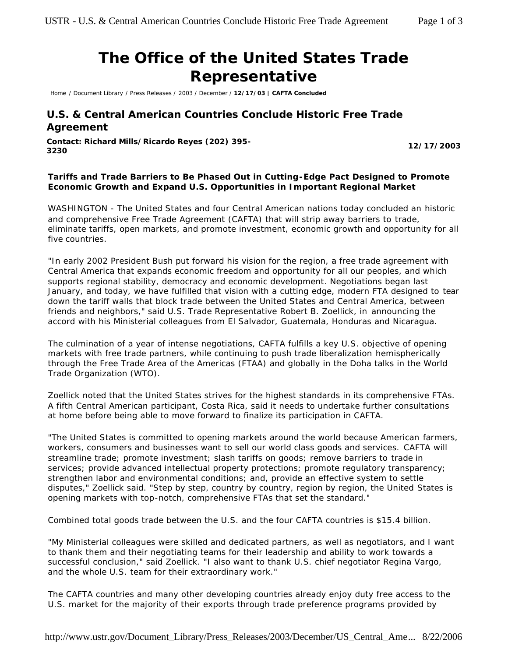# **The Office of the United States Trade Representative**

Home / Document Library / Press Releases / 2003 / December / **12/17/03 | CAFTA Concluded**

# **U.S. & Central American Countries Conclude Historic Free Trade Agreement**

**Contact: Richard Mills/Ricardo Reyes (202) 395- <sup>3230</sup> 12/17/2003**

## *Tariffs and Trade Barriers to Be Phased Out in Cutting-Edge Pact Designed to Promote Economic Growth and Expand U.S. Opportunities in Important Regional Market*

WASHINGTON - The United States and four Central American nations today concluded an historic and comprehensive Free Trade Agreement (CAFTA) that will strip away barriers to trade, eliminate tariffs, open markets, and promote investment, economic growth and opportunity for all five countries.

"In early 2002 President Bush put forward his vision for the region, a free trade agreement with Central America that expands economic freedom and opportunity for all our peoples, and which supports regional stability, democracy and economic development. Negotiations began last January, and today, we have fulfilled that vision with a cutting edge, modern FTA designed to tear down the tariff walls that block trade between the United States and Central America, between friends and neighbors," said U.S. Trade Representative Robert B. Zoellick, in announcing the accord with his Ministerial colleagues from El Salvador, Guatemala, Honduras and Nicaragua.

The culmination of a year of intense negotiations, CAFTA fulfills a key U.S. objective of opening markets with free trade partners, while continuing to push trade liberalization hemispherically through the Free Trade Area of the Americas (FTAA) and globally in the Doha talks in the World Trade Organization (WTO).

Zoellick noted that the United States strives for the highest standards in its comprehensive FTAs. A fifth Central American participant, Costa Rica, said it needs to undertake further consultations at home before being able to move forward to finalize its participation in CAFTA.

"The United States is committed to opening markets around the world because American farmers, workers, consumers and businesses want to sell our world class goods and services. CAFTA will streamline trade; promote investment; slash tariffs on goods; remove barriers to trade in services; provide advanced intellectual property protections; promote regulatory transparency; strengthen labor and environmental conditions; and, provide an effective system to settle disputes," Zoellick said. "Step by step, country by country, region by region, the United States is opening markets with top-notch, comprehensive FTAs that set the standard."

Combined total goods trade between the U.S. and the four CAFTA countries is \$15.4 billion.

"My Ministerial colleagues were skilled and dedicated partners, as well as negotiators, and I want to thank them and their negotiating teams for their leadership and ability to work towards a successful conclusion," said Zoellick. "I also want to thank U.S. chief negotiator Regina Vargo, and the whole U.S. team for their extraordinary work."

The CAFTA countries and many other developing countries already enjoy duty free access to the U.S. market for the majority of their exports through trade preference programs provided by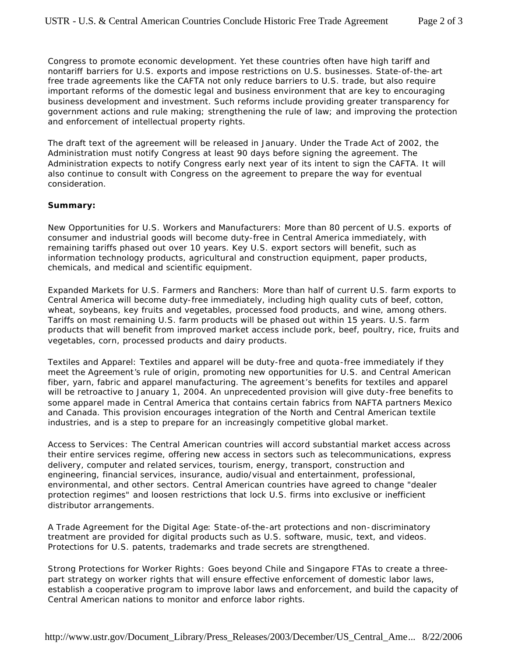Congress to promote economic development. Yet these countries often have high tariff and nontariff barriers for U.S. exports and impose restrictions on U.S. businesses. State-of-the-art free trade agreements like the CAFTA not only reduce barriers to U.S. trade, but also require important reforms of the domestic legal and business environment that are key to encouraging business development and investment. Such reforms include providing greater transparency for government actions and rule making; strengthening the rule of law; and improving the protection and enforcement of intellectual property rights.

The draft text of the agreement will be released in January. Under the Trade Act of 2002, the Administration must notify Congress at least 90 days before signing the agreement. The Administration expects to notify Congress early next year of its intent to sign the CAFTA. It will also continue to consult with Congress on the agreement to prepare the way for eventual consideration.

### **Summary:**

*New Opportunities for U.S. Workers and Manufacturers*: More than 80 percent of U.S. exports of consumer and industrial goods will become duty-free in Central America immediately, with remaining tariffs phased out over 10 years. Key U.S. export sectors will benefit, such as information technology products, agricultural and construction equipment, paper products, chemicals, and medical and scientific equipment.

*Expanded Markets for U.S. Farmers and Ranchers*: More than half of current U.S. farm exports to Central America will become duty-free immediately, including high quality cuts of beef, cotton, wheat, soybeans, key fruits and vegetables, processed food products, and wine, among others. Tariffs on most remaining U.S. farm products will be phased out within 15 years. U.S. farm products that will benefit from improved market access include pork, beef, poultry, rice, fruits and vegetables, corn, processed products and dairy products.

*Textiles and Apparel*: Textiles and apparel will be duty-free and quota-free immediately if they meet the Agreement's rule of origin, promoting new opportunities for U.S. and Central American fiber, yarn, fabric and apparel manufacturing. The agreement's benefits for textiles and apparel will be retroactive to January 1, 2004. An unprecedented provision will give duty-free benefits to some apparel made in Central America that contains certain fabrics from NAFTA partners Mexico and Canada. This provision encourages integration of the North and Central American textile industries, and is a step to prepare for an increasingly competitive global market.

*Access to Services*: The Central American countries will accord substantial market access across their entire services regime, offering new access in sectors such as telecommunications, express delivery, computer and related services, tourism, energy, transport, construction and engineering, financial services, insurance, audio/visual and entertainment, professional, environmental, and other sectors. Central American countries have agreed to change "dealer protection regimes" and loosen restrictions that lock U.S. firms into exclusive or inefficient distributor arrangements.

*A Trade Agreement for the Digital Age*: State-of-the-art protections and non-discriminatory treatment are provided for digital products such as U.S. software, music, text, and videos. Protections for U.S. patents, trademarks and trade secrets are strengthened.

*Strong Protections for Worker Rights*: Goes beyond Chile and Singapore FTAs to create a threepart strategy on worker rights that will ensure effective enforcement of domestic labor laws, establish a cooperative program to improve labor laws and enforcement, and build the capacity of Central American nations to monitor and enforce labor rights.